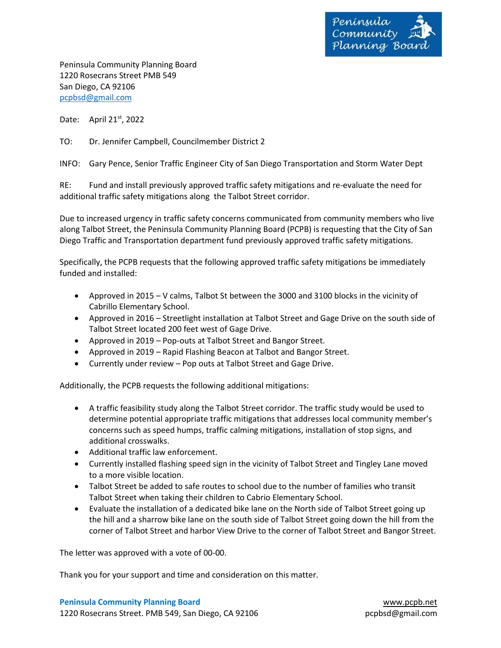

Peninsula Community Planning Board 1220 Rosecrans Street PMB 549 San Diego, CA 92106 [pcpbsd@gmail.com](mailto:pcpbsd@gmail.com)

Date: April 21<sup>st</sup>, 2022

TO: Dr. Jennifer Campbell, Councilmember District 2

INFO: Gary Pence, Senior Traffic Engineer City of San Diego Transportation and Storm Water Dept

RE: Fund and install previously approved traffic safety mitigations and re-evaluate the need for additional traffic safety mitigations along the Talbot Street corridor.

Due to increased urgency in traffic safety concerns communicated from community members who live along Talbot Street, the Peninsula Community Planning Board (PCPB) is requesting that the City of San Diego Traffic and Transportation department fund previously approved traffic safety mitigations.

Specifically, the PCPB requests that the following approved traffic safety mitigations be immediately funded and installed:

- Approved in 2015 V calms, Talbot St between the 3000 and 3100 blocks in the vicinity of Cabrillo Elementary School.
- Approved in 2016 Streetlight installation at Talbot Street and Gage Drive on the south side of Talbot Street located 200 feet west of Gage Drive.
- Approved in 2019 Pop-outs at Talbot Street and Bangor Street.
- Approved in 2019 Rapid Flashing Beacon at Talbot and Bangor Street.
- Currently under review Pop outs at Talbot Street and Gage Drive.

Additionally, the PCPB requests the following additional mitigations:

- A traffic feasibility study along the Talbot Street corridor. The traffic study would be used to determine potential appropriate traffic mitigations that addresses local community member's concerns such as speed humps, traffic calming mitigations, installation of stop signs, and additional crosswalks.
- Additional traffic law enforcement.
- Currently installed flashing speed sign in the vicinity of Talbot Street and Tingley Lane moved to a more visible location.
- Talbot Street be added to safe routes to school due to the number of families who transit Talbot Street when taking their children to Cabrio Elementary School.
- Evaluate the installation of a dedicated bike lane on the North side of Talbot Street going up the hill and a sharrow bike lane on the south side of Talbot Street going down the hill from the corner of Talbot Street and harbor View Drive to the corner of Talbot Street and Bangor Street.

The letter was approved with a vote of 00-00.

Thank you for your support and time and consideration on this matter.